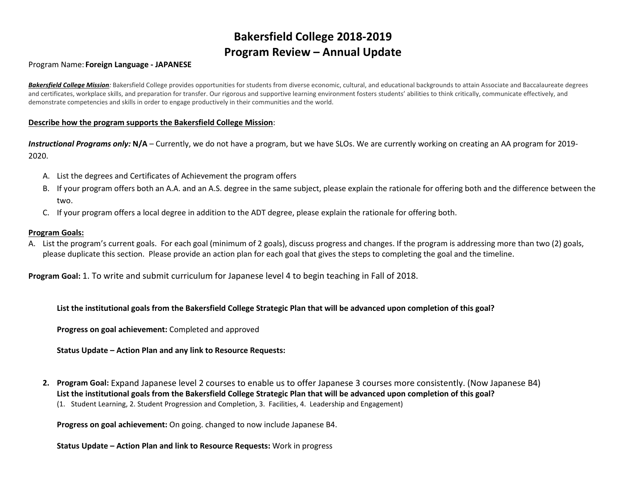# **Bakersfield College 2018-2019 Program Review – Annual Update**

#### Program Name: **Foreign Language - JAPANESE**

**Bakersfield College Mission**: Bakersfield College provides opportunities for students from diverse economic, cultural, and educational backgrounds to attain Associate and Baccalaureate degrees and certificates, workplace skills, and preparation for transfer. Our rigorous and supportive learning environment fosters students' abilities to think critically, communicate effectively, and demonstrate competencies and skills in order to engage productively in their communities and the world.

#### **Describe how the program supports the Bakersfield College Mission**:

**Instructional Programs only: N/A** – Currently, we do not have a program, but we have SLOs. We are currently working on creating an AA program for 2019-2020.

- A. List the degrees and Certificates of Achievement the program offers
- B. If your program offers both an A.A. and an A.S. degree in the same subject, please explain the rationale for offering both and the difference between the two.
- C. If your program offers a local degree in addition to the ADT degree, please explain the rationale for offering both.

#### **Program Goals:**

A. List the program's current goals. For each goal (minimum of 2 goals), discuss progress and changes. If the program is addressing more than two (2) goals, please duplicate this section. Please provide an action plan for each goal that gives the steps to completing the goal and the timeline.

**Program Goal:** 1. To write and submit curriculum for Japanese level 4 to begin teaching in Fall of 2018.

**List the institutional goals from the Bakersfield College Strategic Plan that will be advanced upon completion of this goal?** 

**Progress on goal achievement:** Completed and approved

**Status Update – Action Plan and any link to Resource Requests:**

**2. Program Goal:** Expand Japanese level 2 courses to enable us to offer Japanese 3 courses more consistently. (Now Japanese B4) **List the institutional goals from the Bakersfield College Strategic Plan that will be advanced upon completion of this goal?**  (1. Student Learning, 2. Student Progression and Completion, 3. Facilities, 4. Leadership and Engagement)

**Progress on goal achievement:** On going. changed to now include Japanese B4.

**Status Update – Action Plan and link to Resource Requests:** Work in progress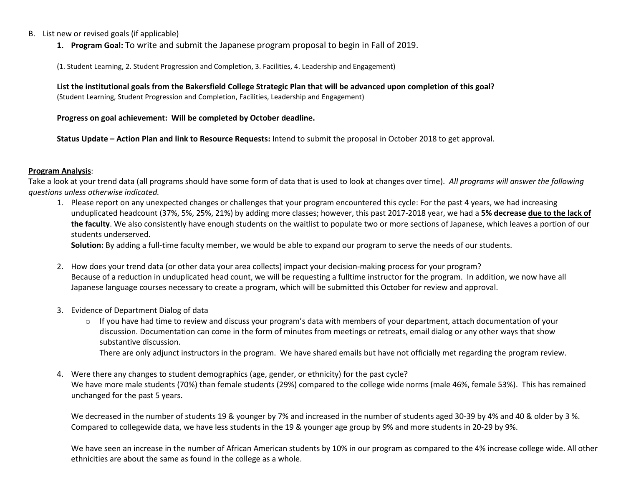#### B. List new or revised goals (if applicable)

**1. Program Goal:** To write and submit the Japanese program proposal to begin in Fall of 2019.

(1. Student Learning, 2. Student Progression and Completion, 3. Facilities, 4. Leadership and Engagement)

**List the institutional goals from the Bakersfield College Strategic Plan that will be advanced upon completion of this goal?**  (Student Learning, Student Progression and Completion, Facilities, Leadership and Engagement)

#### **Progress on goal achievement: Will be completed by October deadline.**

**Status Update – Action Plan and link to Resource Requests:** Intend to submit the proposal in October 2018 to get approval.

#### **Program Analysis**:

Take a look at your trend data (all programs should have some form of data that is used to look at changes over time). *All programs will answer the following questions unless otherwise indicated.*

1. Please report on any unexpected changes or challenges that your program encountered this cycle: For the past 4 years, we had increasing unduplicated headcount (37%, 5%, 25%, 21%) by adding more classes; however, this past 2017-2018 year, we had a **5% decrease due to the lack of the faculty**. We also consistently have enough students on the waitlist to populate two or more sections of Japanese, which leaves a portion of our students underserved.

**Solution:** By adding a full-time faculty member, we would be able to expand our program to serve the needs of our students.

- 2. How does your trend data (or other data your area collects) impact your decision-making process for your program? Because of a reduction in unduplicated head count, we will be requesting a fulltime instructor for the program. In addition, we now have all Japanese language courses necessary to create a program, which will be submitted this October for review and approval.
- 3. Evidence of Department Dialog of data
	- o If you have had time to review and discuss your program's data with members of your department, attach documentation of your discussion. Documentation can come in the form of minutes from meetings or retreats, email dialog or any other ways that show substantive discussion.

There are only adjunct instructors in the program. We have shared emails but have not officially met regarding the program review.

4. Were there any changes to student demographics (age, gender, or ethnicity) for the past cycle? We have more male students (70%) than female students (29%) compared to the college wide norms (male 46%, female 53%). This has remained unchanged for the past 5 years.

We decreased in the number of students 19 & younger by 7% and increased in the number of students aged 30-39 by 4% and 40 & older by 3 %. Compared to collegewide data, we have less students in the 19 & younger age group by 9% and more students in 20-29 by 9%.

We have seen an increase in the number of African American students by 10% in our program as compared to the 4% increase college wide. All other ethnicities are about the same as found in the college as a whole.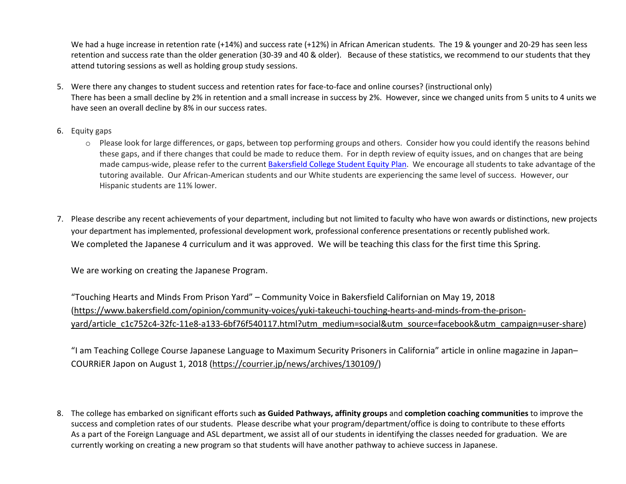We had a huge increase in retention rate (+14%) and success rate (+12%) in African American students. The 19 & younger and 20-29 has seen less retention and success rate than the older generation (30-39 and 40 & older). Because of these statistics, we recommend to our students that they attend tutoring sessions as well as holding group study sessions.

- 5. Were there any changes to student success and retention rates for face-to-face and online courses? (instructional only) There has been a small decline by 2% in retention and a small increase in success by 2%. However, since we changed units from 5 units to 4 units we have seen an overall decline by 8% in our success rates.
- 6. Equity gaps
	- o Please look for large differences, or gaps, between top performing groups and others. Consider how you could identify the reasons behind these gaps, and if there changes that could be made to reduce them. For in depth review of equity issues, and on changes that are being made campus-wide, please refer to the current [Bakersfield College Student Equity Plan.](https://www.bakersfieldcollege.edu/sites/bakersfieldcollege.edu/files/2015-18_StudentEquityPlan.pdf) We encourage all students to take advantage of the tutoring available. Our African-American students and our White students are experiencing the same level of success. However, our Hispanic students are 11% lower.
- 7. Please describe any recent achievements of your department, including but not limited to faculty who have won awards or distinctions, new projects your department has implemented, professional development work, professional conference presentations or recently published work. We completed the Japanese 4 curriculum and it was approved. We will be teaching this class for the first time this Spring.

We are working on creating the Japanese Program.

"Touching Hearts and Minds From Prison Yard" – Community Voice in Bakersfield Californian on May 19, 2018 [\(https://www.bakersfield.com/opinion/community-voices/yuki-takeuchi-touching-hearts-and-minds-from-the-prison](https://www.bakersfield.com/opinion/community-voices/yuki-takeuchi-touching-hearts-and-minds-from-the-prison-yard/article_c1c752c4-32fc-11e8-a133-6bf76f540117.html?utm_medium=social&utm_source=facebook&utm_campaign=user-share)[yard/article\\_c1c752c4-32fc-11e8-a133-6bf76f540117.html?utm\\_medium=social&utm\\_source=facebook&utm\\_campaign=user-share\)](https://www.bakersfield.com/opinion/community-voices/yuki-takeuchi-touching-hearts-and-minds-from-the-prison-yard/article_c1c752c4-32fc-11e8-a133-6bf76f540117.html?utm_medium=social&utm_source=facebook&utm_campaign=user-share)

"I am Teaching College Course Japanese Language to Maximum Security Prisoners in California" article in online magazine in Japan– COURRiER Japon on August 1, 2018 [\(https://courrier.jp/news/archives/130109/\)](https://courrier.jp/news/archives/130109/)

8. The college has embarked on significant efforts such **as Guided Pathways, affinity groups** and **completion coaching communities** to improve the success and completion rates of our students. Please describe what your program/department/office is doing to contribute to these efforts As a part of the Foreign Language and ASL department, we assist all of our students in identifying the classes needed for graduation. We are currently working on creating a new program so that students will have another pathway to achieve success in Japanese.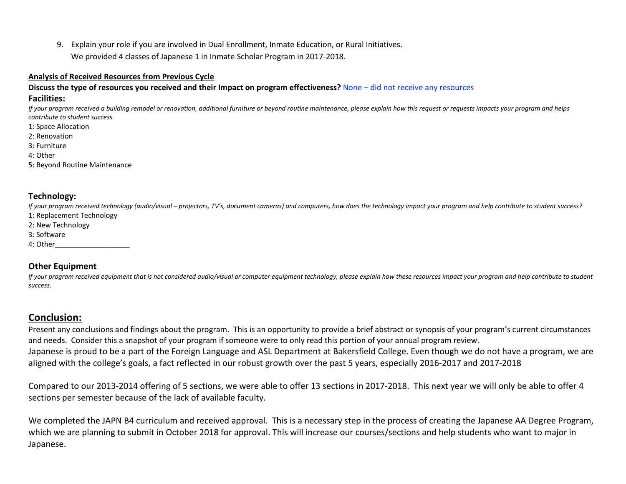9. Explain your role if you are involved in Dual Enrollment, Inmate Education, or Rural Initiatives. We provided 4 classes of Japanese 1 in Inmate Scholar Program in 2017-2018.

#### **Analysis of Received Resources from Previous Cycle**

#### **Discuss the type of resources you received and their Impact on program effectiveness?** None – did not receive any resources

#### **Facilities:**

*If your program received a building remodel or renovation, additional furniture or beyond routine maintenance, please explain how this request or requests impacts your program and helps contribute to student success.*

- 1: Space Allocation
- 2: Renovation
- 3: Furniture
- 4: Other
- 5: Beyond Routine Maintenance

### **Technology:**

*If your program received technology (audio/visual – projectors, TV's, document cameras) and computers, how does the technology impact your program and help contribute to student success?*

- 1: Replacement Technology
- 2: New Technology
- 3: Software
- 4: Other\_\_\_\_\_\_\_\_\_\_\_\_\_\_\_\_\_\_\_

## **Other Equipment**

*If your program received equipment that is not considered audio/visual or computer equipment technology, please explain how these resources impact your program and help contribute to student success.*

## **Conclusion:**

Present any conclusions and findings about the program. This is an opportunity to provide a brief abstract or synopsis of your program's current circumstances and needs. Consider this a snapshot of your program if someone were to only read this portion of your annual program review. Japanese is proud to be a part of the Foreign Language and ASL Department at Bakersfield College. Even though we do not have a program, we are aligned with the college's goals, a fact reflected in our robust growth over the past 5 years, especially 2016-2017 and 2017-2018

Compared to our 2013-2014 offering of 5 sections, we were able to offer 13 sections in 2017-2018. This next year we will only be able to offer 4 sections per semester because of the lack of available faculty.

We completed the JAPN B4 curriculum and received approval. This is a necessary step in the process of creating the Japanese AA Degree Program, which we are planning to submit in October 2018 for approval. This will increase our courses/sections and help students who want to major in Japanese.